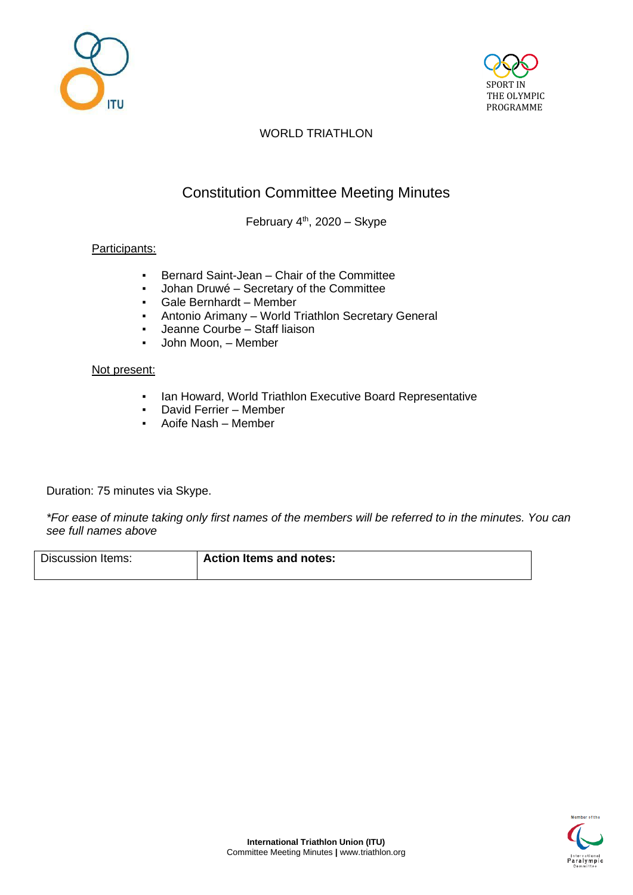



## WORLD TRIATHLON

# Constitution Committee Meeting Minutes

February 4<sup>th</sup>, 2020 - Skype

### Participants:

- Bernard Saint-Jean Chair of the Committee
- Johan Druwé Secretary of the Committee
- Gale Bernhardt Member
- Antonio Arimany World Triathlon Secretary General
- Jeanne Courbe Staff liaison
- John Moon, Member

#### Not present:

- Ian Howard, World Triathlon Executive Board Representative
- David Ferrier Member
- Aoife Nash Member

Duration: 75 minutes via Skype.

*\*For ease of minute taking only first names of the members will be referred to in the minutes. You can see full names above*

Discussion Items: **Action Items and notes:**

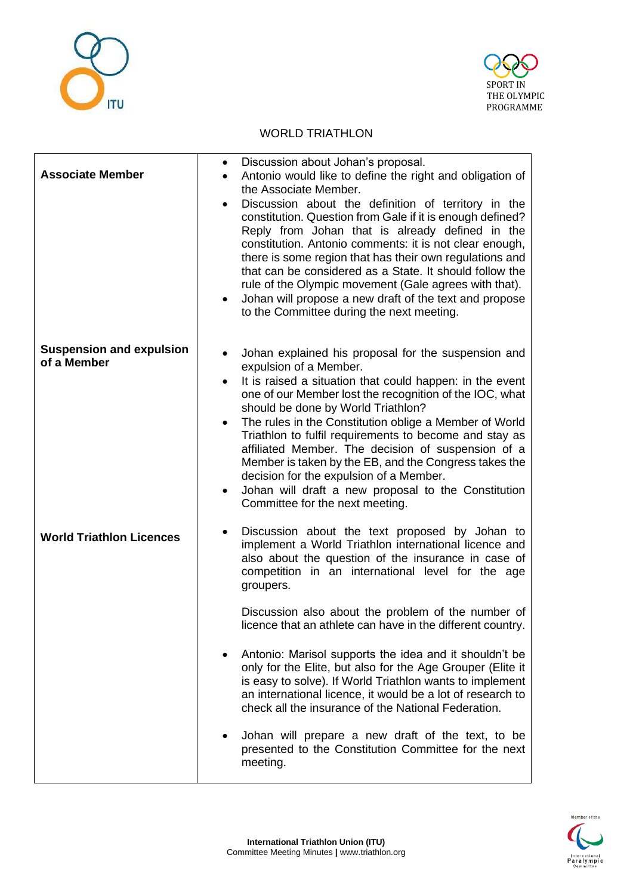



#### WORLD TRIATHLON

| <b>Associate Member</b>                        | Discussion about Johan's proposal.<br>٠<br>Antonio would like to define the right and obligation of<br>$\bullet$<br>the Associate Member.<br>Discussion about the definition of territory in the<br>$\bullet$<br>constitution. Question from Gale if it is enough defined?<br>Reply from Johan that is already defined in the<br>constitution. Antonio comments: it is not clear enough,<br>there is some region that has their own regulations and<br>that can be considered as a State. It should follow the<br>rule of the Olympic movement (Gale agrees with that).<br>Johan will propose a new draft of the text and propose<br>$\bullet$<br>to the Committee during the next meeting.                                                                                                 |
|------------------------------------------------|---------------------------------------------------------------------------------------------------------------------------------------------------------------------------------------------------------------------------------------------------------------------------------------------------------------------------------------------------------------------------------------------------------------------------------------------------------------------------------------------------------------------------------------------------------------------------------------------------------------------------------------------------------------------------------------------------------------------------------------------------------------------------------------------|
| <b>Suspension and expulsion</b><br>of a Member | Johan explained his proposal for the suspension and<br>٠<br>expulsion of a Member.<br>It is raised a situation that could happen: in the event<br>$\bullet$<br>one of our Member lost the recognition of the IOC, what<br>should be done by World Triathlon?<br>The rules in the Constitution oblige a Member of World<br>$\bullet$<br>Triathlon to fulfil requirements to become and stay as<br>affiliated Member. The decision of suspension of a<br>Member is taken by the EB, and the Congress takes the<br>decision for the expulsion of a Member.<br>Johan will draft a new proposal to the Constitution<br>$\bullet$<br>Committee for the next meeting.                                                                                                                              |
| <b>World Triathlon Licences</b>                | Discussion about the text proposed by Johan to<br>٠<br>implement a World Triathlon international licence and<br>also about the question of the insurance in case of<br>competition in an international level for the age<br>groupers.<br>Discussion also about the problem of the number of<br>licence that an athlete can have in the different country.<br>Antonio: Marisol supports the idea and it shouldn't be<br>only for the Elite, but also for the Age Grouper (Elite it<br>is easy to solve). If World Triathlon wants to implement<br>an international licence, it would be a lot of research to<br>check all the insurance of the National Federation.<br>Johan will prepare a new draft of the text, to be<br>presented to the Constitution Committee for the next<br>meeting. |